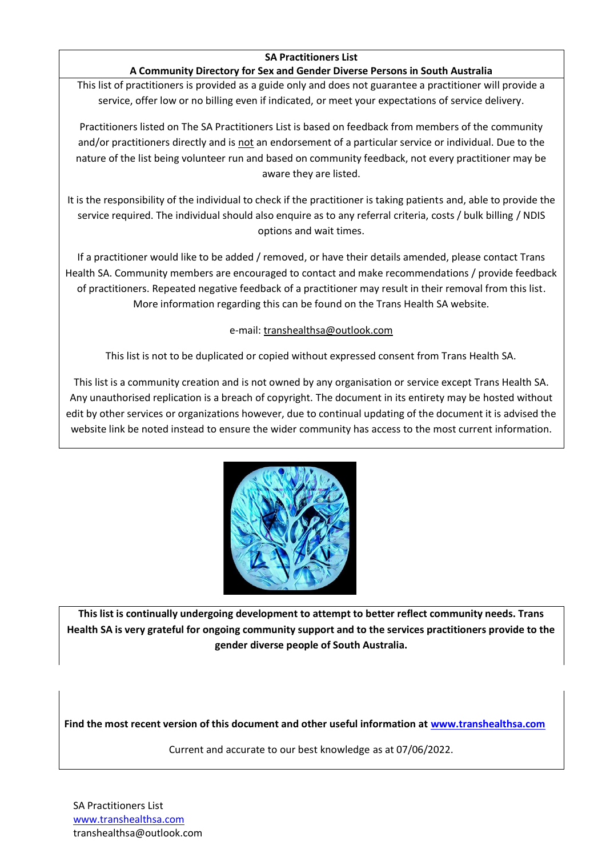## **SA Practitioners List**

### **A Community Directory for Sex and Gender Diverse Persons in South Australia**

This list of practitioners is provided as a guide only and does not guarantee a practitioner will provide a service, offer low or no billing even if indicated, or meet your expectations of service delivery.

Practitioners listed on The SA Practitioners List is based on feedback from members of the community and/or practitioners directly and is not an endorsement of a particular service or individual. Due to the nature of the list being volunteer run and based on community feedback, not every practitioner may be aware they are listed.

It is the responsibility of the individual to check if the practitioner is taking patients and, able to provide the service required. The individual should also enquire as to any referral criteria, costs / bulk billing / NDIS options and wait times.

If a practitioner would like to be added / removed, or have their details amended, please contact Trans Health SA. Community members are encouraged to contact and make recommendations / provide feedback of practitioners. Repeated negative feedback of a practitioner may result in their removal from this list. More information regarding this can be found on the Trans Health SA website.

### e-mail: transhealthsa@outlook.com

This list is not to be duplicated or copied without expressed consent from Trans Health SA.

This list is a community creation and is not owned by any organisation or service except Trans Health SA. Any unauthorised replication is a breach of copyright. The document in its entirety may be hosted without edit by other services or organizations however, due to continual updating of the document it is advised the website link be noted instead to ensure the wider community has access to the most current information.



**This list is continually undergoing development to attempt to better reflect community needs. Trans Health SA is very grateful for ongoing community support and to the services practitioners provide to the gender diverse people of South Australia.**

**Find the most recent version of this document and other useful information at [www.transhealthsa.com](http://www.transhealthsa.com/)**

Current and accurate to our best knowledge as at 07/06/2022.

SA Practitioners List [www.transhealthsa.com](http://www.transhealthsa.com/) transhealthsa@outlook.com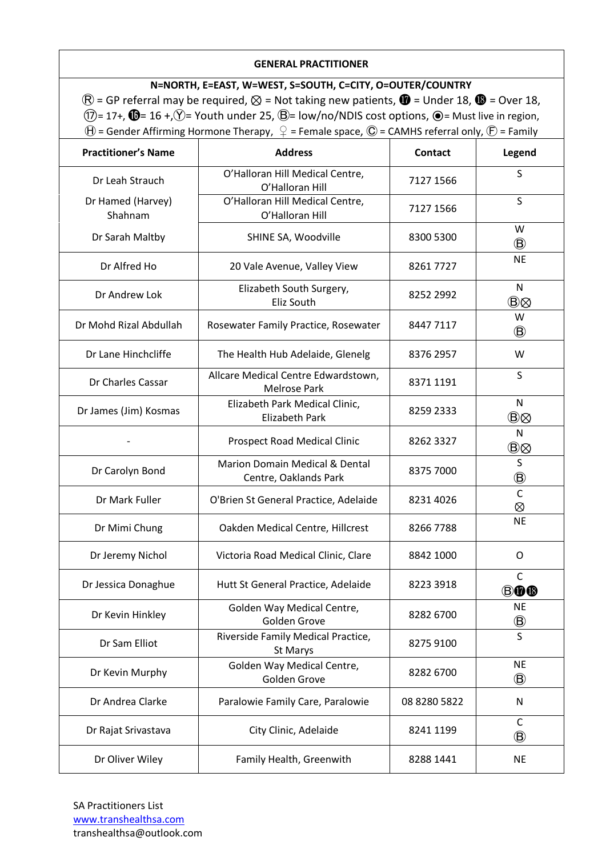### **GENERAL PRACTITIONER**

**N=NORTH, E=EAST, W=WEST, S=SOUTH, C=CITY, O=OUTER/COUNTRY**  $\mathbb{R}$  = GP referral may be required,  $\otimes$  = Not taking new patients,  $\mathbb{Q}$  = Under 18,  $\mathbb{Q}$  = Over 18,  $(1)$ = 17+,  $\mathbf{0}$ = 16 +, $\circled{}$ = Youth under 25,  $\mathbf{0}$ = low/no/NDIS cost options,  $\mathbf{0}$ = Must live in region,  $\Theta$  = Gender Affirming Hormone Therapy,  $\varphi$  = Female space,  $\mathbb O$  = CAMHS referral only,  $\mathbb E$  = Family

| <b>Practitioner's Name</b>   | <b>Address</b>                                                     | <b>Contact</b> | Legend                                                 |
|------------------------------|--------------------------------------------------------------------|----------------|--------------------------------------------------------|
| Dr Leah Strauch              | O'Halloran Hill Medical Centre,<br>O'Halloran Hill                 | 7127 1566      | S                                                      |
| Dr Hamed (Harvey)<br>Shahnam | O'Halloran Hill Medical Centre,<br>O'Halloran Hill                 | 7127 1566      | S                                                      |
| Dr Sarah Maltby              | SHINE SA, Woodville                                                | 8300 5300      | W<br>$^\circledR$                                      |
| Dr Alfred Ho                 | 20 Vale Avenue, Valley View                                        | 82617727       | <b>NE</b>                                              |
| Dr Andrew Lok                | Elizabeth South Surgery,<br>Eliz South                             | 8252 2992      | N<br>$\circledB\otimes$                                |
| Dr Mohd Rizal Abdullah       | Rosewater Family Practice, Rosewater                               | 84477117       | W<br>$\circledR$                                       |
| Dr Lane Hinchcliffe          | The Health Hub Adelaide, Glenelg                                   | 8376 2957      | W                                                      |
| Dr Charles Cassar            | Allcare Medical Centre Edwardstown,<br><b>Melrose Park</b>         | 8371 1191      | S                                                      |
| Dr James (Jim) Kosmas        | Elizabeth Park Medical Clinic,<br><b>Elizabeth Park</b>            | 8259 2333      | N<br>$\textcircled{\tiny{B}} \otimes$                  |
|                              | <b>Prospect Road Medical Clinic</b>                                | 8262 3327      | $\mathsf{N}$<br>$\textcircled{\scriptsize{B}} \otimes$ |
| Dr Carolyn Bond              | <b>Marion Domain Medical &amp; Dental</b><br>Centre, Oaklands Park | 8375 7000      | S<br>$^\circledR$                                      |
| Dr Mark Fuller               | O'Brien St General Practice, Adelaide                              | 8231 4026      | $\mathsf{C}$<br>⊗                                      |
| Dr Mimi Chung                | Oakden Medical Centre, Hillcrest                                   | 8266 7788      | <b>NE</b>                                              |
| Dr Jeremy Nichol             | Victoria Road Medical Clinic, Clare                                | 8842 1000      | O                                                      |
| Dr Jessica Donaghue          | Hutt St General Practice, Adelaide                                 | 8223 3918      | C<br>BOB                                               |
| Dr Kevin Hinkley             | Golden Way Medical Centre,<br>Golden Grove                         | 8282 6700      | <b>NE</b><br>$\circledB$                               |
| Dr Sam Elliot                | Riverside Family Medical Practice,<br>St Marys                     | 8275 9100      | S                                                      |
| Dr Kevin Murphy              | Golden Way Medical Centre,<br>Golden Grove                         | 8282 6700      | <b>NE</b><br>$^\circledR$                              |
| Dr Andrea Clarke             | Paralowie Family Care, Paralowie                                   | 08 8280 5822   | ${\sf N}$                                              |
| Dr Rajat Srivastava          | City Clinic, Adelaide                                              | 8241 1199      | $\mathsf{C}$<br>$^\circledR$                           |
| Dr Oliver Wiley              | Family Health, Greenwith                                           | 8288 1441      | <b>NE</b>                                              |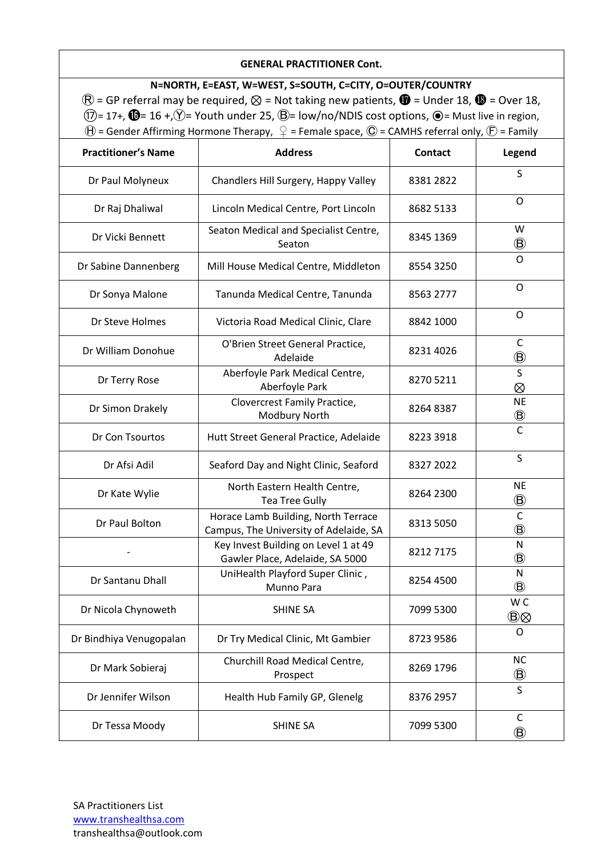### **GENERAL PRACTITIONER Cont.**

**N=NORTH, E=EAST, W=WEST, S=SOUTH, C=CITY, O=OUTER/COUNTRY**  $\mathbb{R}$  = GP referral may be required,  $\otimes$  = Not taking new patients,  $\mathbb{Q}$  = Under 18,  $\mathbb{Q}$  = Over 18,  $(1)$ = 17+,  $\mathbf{0}$ = 16 +, $\circled{}$ = Youth under 25,  $\mathbf{0}$ = low/no/NDIS cost options,  $\mathbf{0}$ = Must live in region,  $\Theta$  = Gender Affirming Hormone Therapy,  $\varphi$  = Female space,  $\mathbb O$  = CAMHS referral only,  $\mathbb E$  = Family

| <b>Practitioner's Name</b> | <b>Address</b>                                                                | Contact   | Legend                               |
|----------------------------|-------------------------------------------------------------------------------|-----------|--------------------------------------|
| Dr Paul Molyneux           | Chandlers Hill Surgery, Happy Valley                                          | 8381 2822 | S                                    |
| Dr Raj Dhaliwal            | Lincoln Medical Centre, Port Lincoln                                          | 8682 5133 | O                                    |
| Dr Vicki Bennett           | Seaton Medical and Specialist Centre,<br>Seaton                               | 8345 1369 | W<br>◉                               |
| Dr Sabine Dannenberg       | Mill House Medical Centre, Middleton                                          | 8554 3250 | O                                    |
| Dr Sonya Malone            | Tanunda Medical Centre, Tanunda                                               | 8563 2777 | $\circ$                              |
| Dr Steve Holmes            | Victoria Road Medical Clinic, Clare                                           | 8842 1000 | O                                    |
| Dr William Donohue         | O'Brien Street General Practice,<br>Adelaide                                  | 8231 4026 | C<br>$\circledB$                     |
| Dr Terry Rose              | Aberfoyle Park Medical Centre,<br>Aberfoyle Park                              | 8270 5211 | $\overline{\mathsf{S}}$<br>⊗         |
| Dr Simon Drakely           | Clovercrest Family Practice,<br>Modbury North                                 | 82648387  | <b>NE</b><br>$^\circledR$            |
| Dr Con Tsourtos            | Hutt Street General Practice, Adelaide                                        | 8223 3918 | $\mathsf{C}$                         |
| Dr Afsi Adil               | Seaford Day and Night Clinic, Seaford                                         | 8327 2022 | S                                    |
| Dr Kate Wylie              | North Eastern Health Centre,<br><b>Tea Tree Gully</b>                         | 8264 2300 | <b>NE</b><br>◉                       |
| Dr Paul Bolton             | Horace Lamb Building, North Terrace<br>Campus, The University of Adelaide, SA | 8313 5050 | $\mathsf C$<br>$\circledB$           |
|                            | Key Invest Building on Level 1 at 49<br>Gawler Place, Adelaide, SA 5000       | 8212 7175 | N<br>$\circledR$                     |
| Dr Santanu Dhall           | UniHealth Playford Super Clinic,<br>Munno Para                                | 8254 4500 | N<br>®                               |
| Dr Nicola Chynoweth        | <b>SHINE SA</b>                                                               | 7099 5300 | W <sub>C</sub><br>$\circledB\otimes$ |
| Dr Bindhiya Venugopalan    | Dr Try Medical Clinic, Mt Gambier                                             | 8723 9586 | O                                    |
| Dr Mark Sobieraj           | Churchill Road Medical Centre,<br>Prospect                                    | 8269 1796 | <b>NC</b><br>$\circledB$             |
| Dr Jennifer Wilson         | Health Hub Family GP, Glenelg                                                 | 8376 2957 | $\mathsf{S}$                         |
| Dr Tessa Moody             | <b>SHINE SA</b>                                                               | 7099 5300 | $\mathsf{C}$<br>$\circledR$          |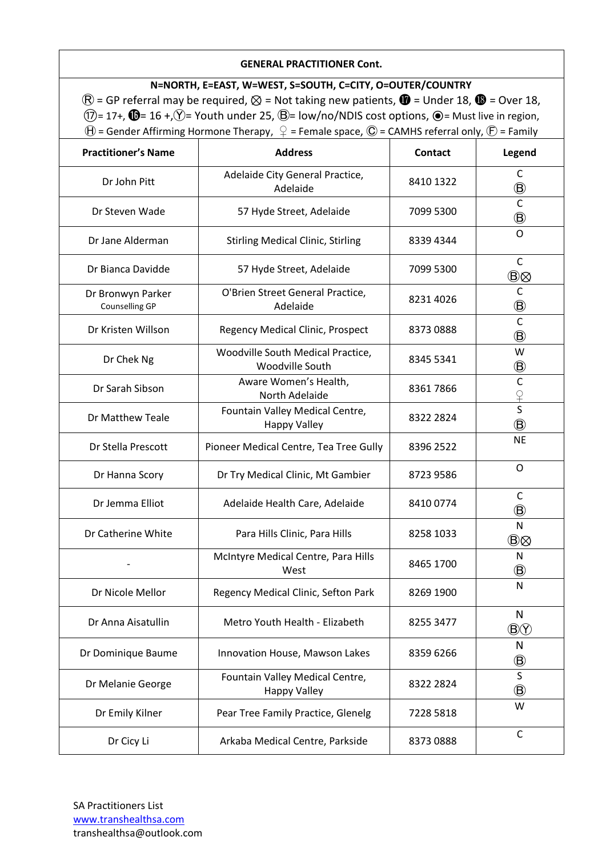### **GENERAL PRACTITIONER Cont.**

**N=NORTH, E=EAST, W=WEST, S=SOUTH, C=CITY, O=OUTER/COUNTRY**  $\mathbb{R}$  = GP referral may be required,  $\otimes$  = Not taking new patients,  $\mathbb{Q}$  = Under 18,  $\mathbb{Q}$  = Over 18,  $(1)$ = 17+,  $\mathbf{0}$ = 16 +, $\mathbf{V}$ = Youth under 25,  $\mathbf{B}$ = low/no/NDIS cost options,  $\mathbf{O}$ = Must live in region,  $\Theta$  = Gender Affirming Hormone Therapy,  $\mathcal{Q}$  = Female space,  $\mathbb{O}$  = CAMHS referral only,  $\mathcal{F}$  = Family

| <b>Practitioner's Name</b>          | <b>Address</b>                                         | <b>Contact</b> | Legend                             |
|-------------------------------------|--------------------------------------------------------|----------------|------------------------------------|
| Dr John Pitt                        | Adelaide City General Practice,<br>Adelaide            | 8410 1322      | C<br>$^\circledR$                  |
| Dr Steven Wade                      | 57 Hyde Street, Adelaide                               | 7099 5300      | $\overline{C}$<br>$^\circledR$     |
| Dr Jane Alderman                    | <b>Stirling Medical Clinic, Stirling</b>               | 8339 4344      | O                                  |
| Dr Bianca Davidde                   | 57 Hyde Street, Adelaide                               | 7099 5300      | $\mathsf{C}$<br>$\circledB\otimes$ |
| Dr Bronwyn Parker<br>Counselling GP | O'Brien Street General Practice,<br>Adelaide           | 8231 4026      | $\mathsf C$<br>$\circledB$         |
| Dr Kristen Willson                  | Regency Medical Clinic, Prospect                       | 83730888       | $\mathsf{C}$<br>$^\circledR$       |
| Dr Chek Ng                          | Woodville South Medical Practice,<br>Woodville South   | 8345 5341      | W<br>$^\circledR$                  |
| Dr Sarah Sibson                     | Aware Women's Health,<br>North Adelaide                | 83617866       | $\mathsf{C}$<br>$rac{Q}{S}$        |
| Dr Matthew Teale                    | Fountain Valley Medical Centre,<br><b>Happy Valley</b> | 8322 2824      | $^\circledR$                       |
| Dr Stella Prescott                  | Pioneer Medical Centre, Tea Tree Gully                 | 8396 2522      | <b>NE</b>                          |
| Dr Hanna Scory                      | Dr Try Medical Clinic, Mt Gambier                      | 8723 9586      | $\mathsf O$                        |
| Dr Jemma Elliot                     | Adelaide Health Care, Adelaide                         | 84100774       | C<br>$^\circledR$                  |
| Dr Catherine White                  | Para Hills Clinic, Para Hills                          | 8258 1033      | N<br>$\circledB\otimes$            |
|                                     | McIntyre Medical Centre, Para Hills<br>West            | 8465 1700      | N<br>$^\circledR$                  |
| Dr Nicole Mellor                    | Regency Medical Clinic, Sefton Park                    | 8269 1900      | $\mathsf{N}$                       |
| Dr Anna Aisatullin                  | Metro Youth Health - Elizabeth                         | 8255 3477      | N<br>$\circledB$                   |
| Dr Dominique Baume                  | Innovation House, Mawson Lakes                         | 8359 6266      | N<br>$^\circledR$                  |
| Dr Melanie George                   | Fountain Valley Medical Centre,<br><b>Happy Valley</b> | 8322 2824      | S<br>$^\circledR$                  |
| Dr Emily Kilner                     | Pear Tree Family Practice, Glenelg                     | 7228 5818      | W                                  |
| Dr Cicy Li                          | Arkaba Medical Centre, Parkside                        | 83730888       | $\mathsf C$                        |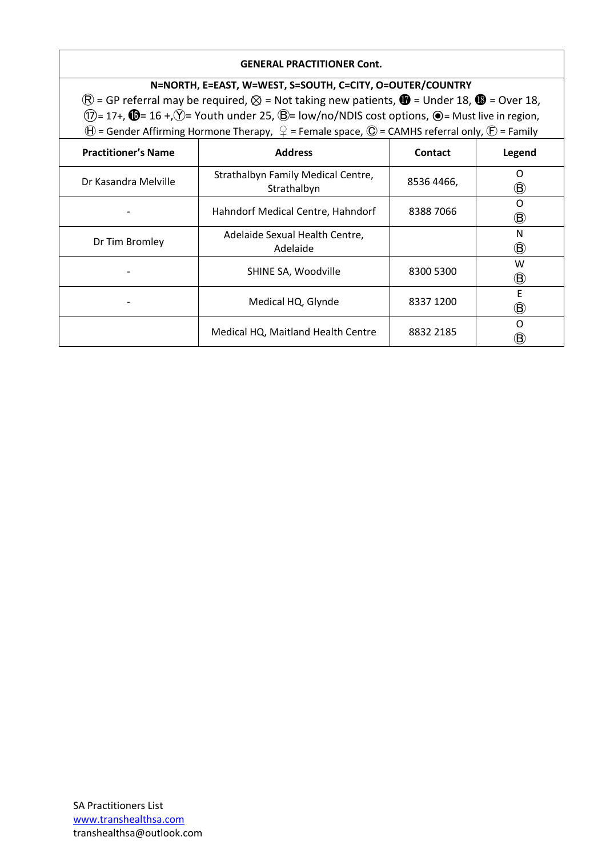### **GENERAL PRACTITIONER Cont.**

### **N=NORTH, E=EAST, W=WEST, S=SOUTH, C=CITY, O=OUTER/COUNTRY**

 $\mathbb{R}$  = GP referral may be required,  $\otimes$  = Not taking new patients,  $\mathbb{Q}$  = Under 18,  $\mathbb{Q}$  = Over 18,  $(1)$ = 17+,  $\mathbf{0}$ = 16 +, $\circled{}$ = Youth under 25,  $\mathbf{0}$ = low/no/NDIS cost options,  $\mathbf{0}$ = Must live in region,  $\Theta$  = Gender Affirming Hormone Therapy,  $\varphi$  = Female space,  $\mathbb O$  = CAMHS referral only,  $\mathbb E$  = Family

| <b>Practitioner's Name</b> | <b>Address</b>                                    | Contact    | Legend            |
|----------------------------|---------------------------------------------------|------------|-------------------|
| Dr Kasandra Melville       | Strathalbyn Family Medical Centre,<br>Strathalbyn | 8536 4466, | Ω<br>⑮            |
|                            | Hahndorf Medical Centre, Hahndorf                 | 83887066   | O<br>$^\circledR$ |
| Dr Tim Bromley             | Adelaide Sexual Health Centre,<br>Adelaide        |            | N<br>⑮            |
|                            | SHINE SA, Woodville                               | 8300 5300  | W<br>⑱            |
|                            | Medical HQ, Glynde                                | 8337 1200  | F<br>⑱            |
|                            | Medical HQ, Maitland Health Centre                | 8832 2185  | ∩<br>$\circledB$  |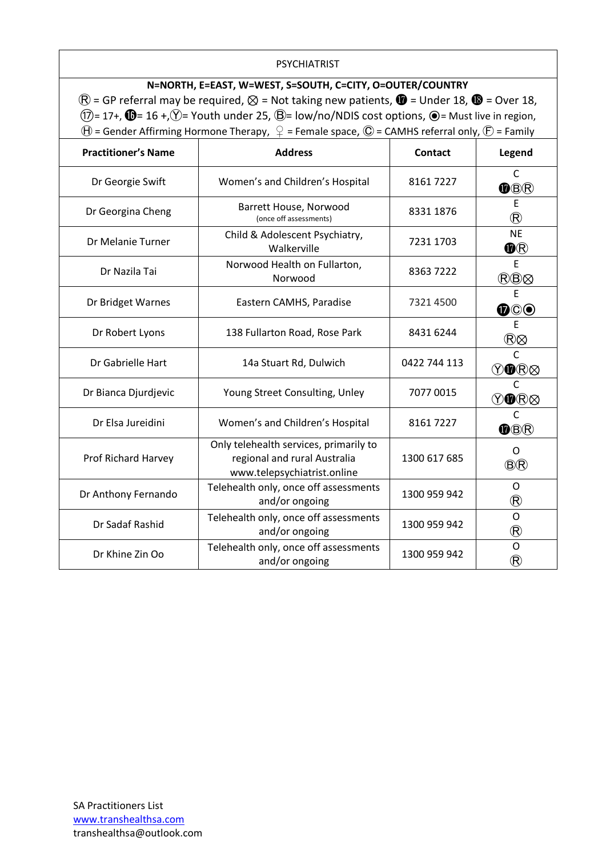### PSYCHIATRIST

# **N=NORTH, E=EAST, W=WEST, S=SOUTH, C=CITY, O=OUTER/COUNTRY**  $\mathbb{R}$  = GP referral may be required,  $\otimes$  = Not taking new patients,  $\mathbb{Q}$  = Under 18,  $\mathbb{Q}$  = Over 18,  $(1)$ = 17+,  $\bullet$  = 16 +, $\circled{Y}$ = Youth under 25,  $\circled{B}$ = low/no/NDIS cost options,  $\bullet$  = Must live in region,  $\Theta$  = Gender Affirming Hormone Therapy,  $\mathcal{Q}$  = Female space,  $\mathbb{O}$  = CAMHS referral only,  $\mathcal{F}$  = Family

| <b>Practitioner's Name</b> | <b>Address</b>                                                                                        | <b>Contact</b> | Legend                               |
|----------------------------|-------------------------------------------------------------------------------------------------------|----------------|--------------------------------------|
| Dr Georgie Swift           | Women's and Children's Hospital                                                                       | 81617227       | $\mathsf{C}$<br>OBR                  |
| Dr Georgina Cheng          | Barrett House, Norwood<br>(once off assessments)                                                      | 8331 1876      | E.<br>$^{\circledR}$                 |
| Dr Melanie Turner          | Child & Adolescent Psychiatry,<br>Walkerville                                                         | 7231 1703      | <b>NE</b><br>$\textcircled{\tiny R}$ |
| Dr Nazila Tai              | Norwood Health on Fullarton,<br>Norwood                                                               | 83637222       | E<br>®®⊗                             |
| Dr Bridget Warnes          | Eastern CAMHS, Paradise                                                                               | 7321 4500      | E<br>$\mathbf{O} \mathbb{O}$         |
| Dr Robert Lyons            | 138 Fullarton Road, Rose Park                                                                         | 8431 6244      | E<br>®⊗                              |
| Dr Gabrielle Hart          | 14a Stuart Rd, Dulwich                                                                                | 0422 744 113   | C<br>VO®⊗                            |
| Dr Bianca Djurdjevic       | Young Street Consulting, Unley                                                                        | 7077 0015      | C<br>VO®⊗                            |
| Dr Elsa Jureidini          | Women's and Children's Hospital                                                                       | 81617227       | $\mathsf{C}$<br>$\bullet$ B $\circ$  |
| Prof Richard Harvey        | Only telehealth services, primarily to<br>regional and rural Australia<br>www.telepsychiatrist.online | 1300 617 685   | O<br><b>BR</b>                       |
| Dr Anthony Fernando        | Telehealth only, once off assessments<br>and/or ongoing                                               | 1300 959 942   | O<br>$^{\circledR}$                  |
| Dr Sadaf Rashid            | Telehealth only, once off assessments<br>and/or ongoing                                               | 1300 959 942   | O<br>$^{\circledR}$                  |
| Dr Khine Zin Oo            | Telehealth only, once off assessments<br>and/or ongoing                                               | 1300 959 942   | O<br>$^{\circledR}$                  |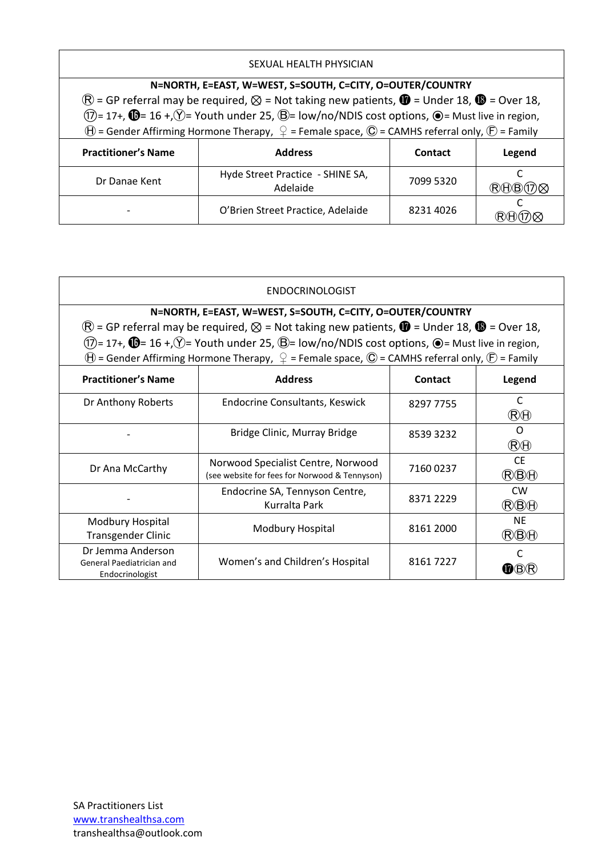### SEXUAL HEALTH PHYSICIAN

|                            | N=NORTH, E=EAST, W=WEST, S=SOUTH, C=CITY, O=OUTER/COUNTRY                                                                                     |                |        |
|----------------------------|-----------------------------------------------------------------------------------------------------------------------------------------------|----------------|--------|
|                            | $\overline{R}$ = GP referral may be required, $\otimes$ = Not taking new patients, $\overline{w}$ = Under 18, $\overline{w}$ = Over 18,       |                |        |
|                            | $(1)$ = 17+, $\mathbf{0}$ = 16 +, $\mathbf{V}$ = Youth under 25, $\mathbf{B}$ = low/no/NDIS cost options, $\mathbf{O}$ = Must live in region, |                |        |
|                            | $\Theta$ = Gender Affirming Hormone Therapy, $\mathcal{Q}$ = Female space, $\mathbb{O}$ = CAMHS referral only, $\mathcal{F}$ = Family         |                |        |
| <b>Practitioner's Name</b> | <b>Address</b>                                                                                                                                | <b>Contact</b> | Legend |
| Dr Danae Kent              | Hyde Street Practice - SHINE SA,<br>Adelaide                                                                                                  | 7099 5320      |        |

| O'Brien Street Practice, Adelaide | 8231 4026 | <b>RHOZ</b> |
|-----------------------------------|-----------|-------------|
|                                   |           |             |

#### ENDOCRINOLOGIST

#### **N=NORTH, E=EAST, W=WEST, S=SOUTH, C=CITY, O=OUTER/COUNTRY**

 $\mathbb{R}$  = GP referral may be required,  $\otimes$  = Not taking new patients,  $\mathbb{Q}$  = Under 18,  $\mathbb{Q}$  = Over 18,  $(7)$ = 17+,  $\bullet$  = 16 +, $\circled{Y}$ = Youth under 25,  $\circled{B}$ = low/no/NDIS cost options,  $\bullet$  = Must live in region,  $\Theta$  = Gender Affirming Hormone Therapy,  $\varphi$  = Female space,  $\mathbb O$  = CAMHS referral only,  $\mathbb E$  = Family

| <b>Practitioner's Name</b>                                        | <b>Address</b>                                                                      | Contact   | Legend                                  |
|-------------------------------------------------------------------|-------------------------------------------------------------------------------------|-----------|-----------------------------------------|
| Dr Anthony Roberts                                                | <b>Endocrine Consultants, Keswick</b>                                               | 8297 7755 | (R)H                                    |
|                                                                   | Bridge Clinic, Murray Bridge                                                        | 85393232  | O<br>$R\oplus$                          |
| Dr Ana McCarthy                                                   | Norwood Specialist Centre, Norwood<br>(see website for fees for Norwood & Tennyson) | 71600237  | <b>CE</b><br>$\mathbb{R} \oplus \oplus$ |
|                                                                   | Endocrine SA, Tennyson Centre,<br>Kurralta Park                                     | 8371 2229 | <b>CW</b><br>$\mathbb{R} \oplus \oplus$ |
| Modbury Hospital<br><b>Transgender Clinic</b>                     | Modbury Hospital                                                                    | 8161 2000 | <b>NE</b><br>$\mathbb{R} \oplus \oplus$ |
| Dr Jemma Anderson<br>General Paediatrician and<br>Endocrinologist | Women's and Children's Hospital                                                     | 81617227  |                                         |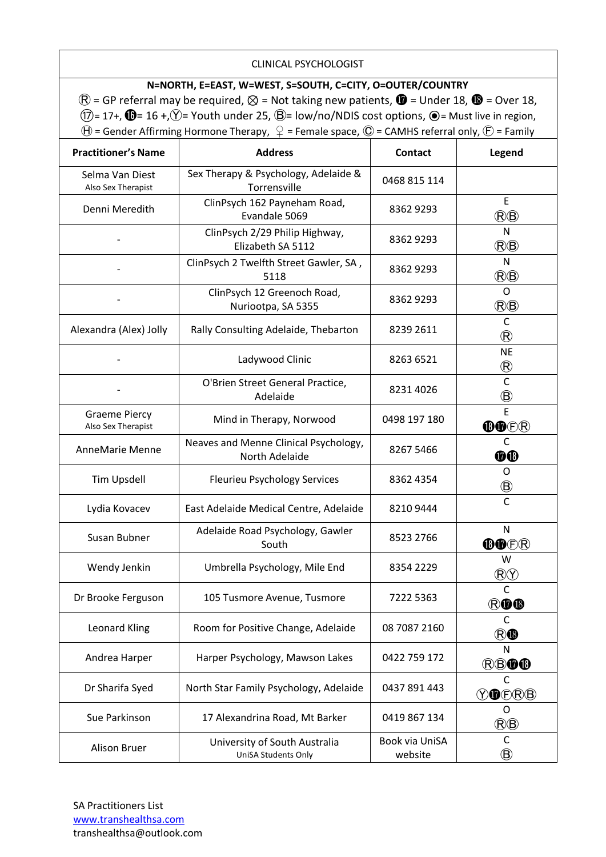### CLINICAL PSYCHOLOGIST

### **N=NORTH, E=EAST, W=WEST, S=SOUTH, C=CITY, O=OUTER/COUNTRY**

 $\mathbb{R}$  = GP referral may be required,  $\otimes$  = Not taking new patients,  $\mathbb{Q}$  = Under 18,  $\mathbb{Q}$  = Over 18,  $(1)$ = 17+,  $\mathbf{O}$ = 16 +, $\circled{}$ = Youth under 25,  $\circled{}$ = low/no/NDIS cost options,  $\circled{}$ = Must live in region,  $\widehat{\Theta}$  = Gender Affirming Hormone Therapy,  $\widehat{\varphi}$  = Female space,  $\widehat{\mathbb{C}}$  = CAMHS referral only,  $\widehat{\mathbb{C}}$  = Family

| <b>Practitioner's Name</b>                 | <b>Address</b>                                          | <b>Contact</b>            | Legend                               |
|--------------------------------------------|---------------------------------------------------------|---------------------------|--------------------------------------|
| Selma Van Diest<br>Also Sex Therapist      | Sex Therapy & Psychology, Adelaide &<br>Torrensville    | 0468 815 114              |                                      |
| Denni Meredith                             | ClinPsych 162 Payneham Road,<br>Evandale 5069           | 8362 9293                 | E<br>®®                              |
|                                            | ClinPsych 2/29 Philip Highway,<br>Elizabeth SA 5112     | 8362 9293                 | $\mathsf{N}$<br>$\circledR\circledB$ |
|                                            | ClinPsych 2 Twelfth Street Gawler, SA,<br>5118          | 8362 9293                 | N<br>(B)                             |
|                                            | ClinPsych 12 Greenoch Road,<br>Nuriootpa, SA 5355       | 83629293                  | $\mathsf{O}$<br>(B)                  |
| Alexandra (Alex) Jolly                     | Rally Consulting Adelaide, Thebarton                    | 8239 2611                 | C<br>$^{\circledR}$                  |
|                                            | Ladywood Clinic                                         | 8263 6521                 | <b>NE</b><br>$^{\circledR}$          |
|                                            | O'Brien Street General Practice,<br>Adelaide            | 8231 4026                 | $\mathsf{C}$<br>$^\circledR$         |
| <b>Graeme Piercy</b><br>Also Sex Therapist | Mind in Therapy, Norwood                                | 0498 197 180              | $\overline{E}$<br>OODR               |
| AnneMarie Menne                            | Neaves and Menne Clinical Psychology,<br>North Adelaide | 8267 5466                 | C<br><b>OO</b>                       |
| Tim Upsdell                                | <b>Fleurieu Psychology Services</b>                     | 8362 4354                 | 0<br>◉                               |
| Lydia Kovacev                              | East Adelaide Medical Centre, Adelaide                  | 82109444                  | $\mathsf{C}$                         |
| Susan Bubner                               | Adelaide Road Psychology, Gawler<br>South               | 8523 2766                 | N<br>OOER                            |
| Wendy Jenkin                               | Umbrella Psychology, Mile End                           | 8354 2229                 | W<br>$\circledR\circledf$            |
| Dr Brooke Ferguson                         | 105 Tusmore Avenue, Tusmore                             | 7222 5363                 | C<br><b>ROC</b>                      |
| Leonard Kling                              | Room for Positive Change, Adelaide                      | 08 7087 2160              | C<br>RO                              |
| Andrea Harper                              | Harper Psychology, Mawson Lakes                         | 0422 759 172              | N<br><b>RBOO</b>                     |
| Dr Sharifa Syed                            | North Star Family Psychology, Adelaide                  | 0437 891 443              | C<br><b>YO</b> ORB                   |
| Sue Parkinson                              | 17 Alexandrina Road, Mt Barker                          | 0419 867 134              | O<br>@@                              |
| Alison Bruer                               | University of South Australia<br>UniSA Students Only    | Book via UniSA<br>website | $\mathsf{C}$<br>$^\circledR$         |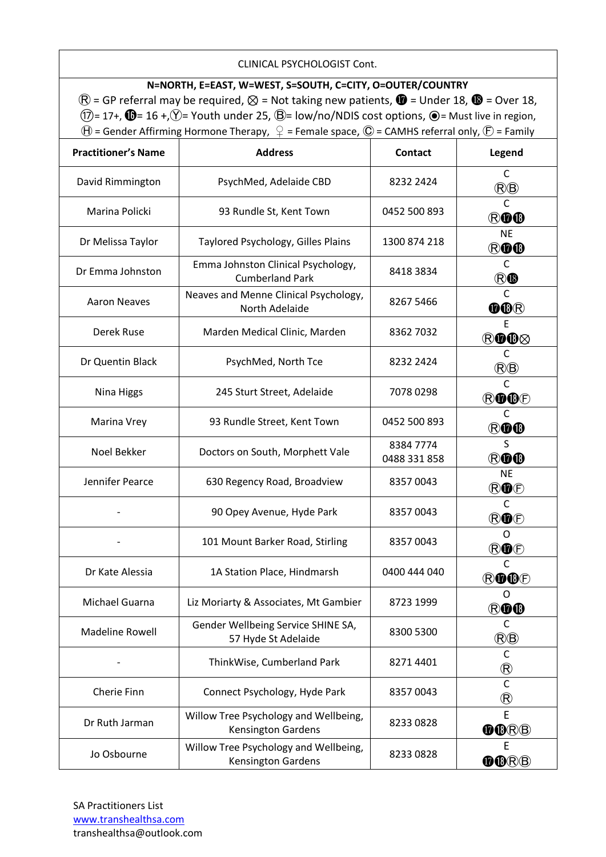### CLINICAL PSYCHOLOGIST Cont.

### **N=NORTH, E=EAST, W=WEST, S=SOUTH, C=CITY, O=OUTER/COUNTRY**

 $\mathbb{R}$  = GP referral may be required,  $\otimes$  = Not taking new patients,  $\mathbb{Q}$  = Under 18,  $\mathbb{Q}$  = Over 18,  $(1)$ = 17+,  $\bigoplus$ = 16 +, $\circled{Y}$ = Youth under 25,  $\bigoplus$ = low/no/NDIS cost options,  $\bigoplus$ = Must live in region,  $\widehat{\Theta}$  = Gender Affirming Hormone Therapy,  $\widehat{\varphi}$  = Female space,  $\widehat{\mathbb{C}}$  = CAMHS referral only,  $\widehat{\mathbb{E}}$  = Family

| <b>Practitioner's Name</b> | <b>Address</b>                                                     | <b>Contact</b>            | Legend                       |
|----------------------------|--------------------------------------------------------------------|---------------------------|------------------------------|
| David Rimmington           | PsychMed, Adelaide CBD                                             | 8232 2424                 | C<br>(B)                     |
| Marina Policki             | 93 Rundle St, Kent Town                                            | 0452 500 893              | $\mathsf C$<br>ROO           |
| Dr Melissa Taylor          | Taylored Psychology, Gilles Plains                                 | 1300 874 218              | <b>NE</b><br><b>ROO</b>      |
| Dr Emma Johnston           | Emma Johnston Clinical Psychology,<br><b>Cumberland Park</b>       | 8418 3834                 | C<br>®®                      |
| <b>Aaron Neaves</b>        | Neaves and Menne Clinical Psychology,<br>North Adelaide            | 8267 5466                 | C<br>OOR                     |
| Derek Ruse                 | Marden Medical Clinic, Marden                                      | 8362 7032                 | E<br>®O®⊗                    |
| Dr Quentin Black           | PsychMed, North Tce                                                | 8232 2424                 | C<br>®®                      |
| Nina Higgs                 | 245 Sturt Street, Adelaide                                         | 70780298                  | $\mathsf{C}$<br><b>ROO</b> D |
| Marina Vrey                | 93 Rundle Street, Kent Town                                        | 0452 500 893              | $\mathsf{C}$<br>ROO          |
| Noel Bekker                | Doctors on South, Morphett Vale                                    | 8384 7774<br>0488 331 858 | S<br><b>ROO</b>              |
| Jennifer Pearce            | 630 Regency Road, Broadview                                        | 83570043                  | <b>NE</b><br>ROO             |
|                            | 90 Opey Avenue, Hyde Park                                          | 83570043                  | C<br><b>RO</b> O             |
|                            | 101 Mount Barker Road, Stirling                                    | 83570043                  | O<br>ROE                     |
| Dr Kate Alessia            | 1A Station Place, Hindmarsh                                        | 0400 444 040              | C<br>ROOD                    |
| Michael Guarna             | Liz Moriarty & Associates, Mt Gambier                              | 8723 1999                 | 0<br><b>ROO</b>              |
| <b>Madeline Rowell</b>     | Gender Wellbeing Service SHINE SA,<br>57 Hyde St Adelaide          | 8300 5300                 | C<br>(B(B)                   |
|                            | ThinkWise, Cumberland Park                                         | 8271 4401                 | C<br>$^\circledR$            |
| Cherie Finn                | Connect Psychology, Hyde Park                                      | 83570043                  | $\mathsf{C}$<br>$^\circledR$ |
| Dr Ruth Jarman             | Willow Tree Psychology and Wellbeing,<br><b>Kensington Gardens</b> | 8233 0828                 | E<br>OORB                    |
| Jo Osbourne                | Willow Tree Psychology and Wellbeing,<br>Kensington Gardens        | 82330828                  | Е<br>OORB                    |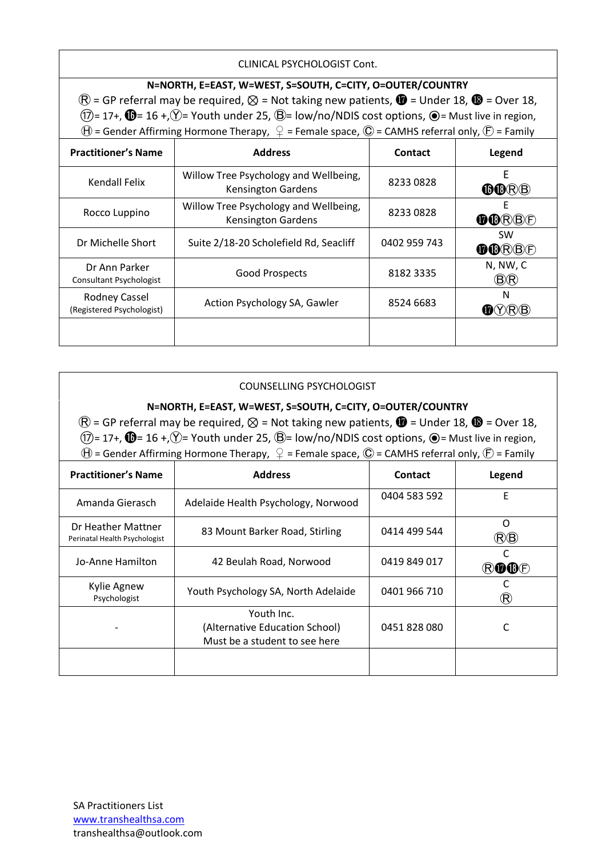CLINICAL PSYCHOLOGIST Cont.

### **N=NORTH, E=EAST, W=WEST, S=SOUTH, C=CITY, O=OUTER/COUNTRY**

 $\circledR$  = GP referral may be required,  $\otimes$  = Not taking new patients,  $\bullet$  = Under 18,  $\bullet$  = Over 18,  $(17)= 17+$ ,  $\circled{1}$  = 16 +,  $\circled{1}$  = Youth under 25,  $\circled{B}$  = low/no/NDIS cost options,  $\circled{1}$  = Must live in region,  $\Theta$  = Gender Affirming Hormone Therapy,  $\mathcal{Q}$  = Female space,  $\mathbb{O}$  = CAMHS referral only,  $\mathbb{F}$  = Family

| <b>Practitioner's Name</b>                        | <b>Address</b>                                                     | Contact      | Legend             |
|---------------------------------------------------|--------------------------------------------------------------------|--------------|--------------------|
| Kendall Felix                                     | Willow Tree Psychology and Wellbeing,<br><b>Kensington Gardens</b> | 82330828     | E<br>OORB          |
| Rocco Luppino                                     | Willow Tree Psychology and Wellbeing,<br><b>Kensington Gardens</b> | 82330828     | OORBE              |
| Dr Michelle Short                                 | Suite 2/18-20 Scholefield Rd, Seacliff                             | 0402 959 743 | <b>SW</b><br>OORBE |
| Dr Ann Parker<br><b>Consultant Psychologist</b>   | <b>Good Prospects</b>                                              | 8182 3335    | N, NW, C<br>®®     |
| <b>Rodney Cassel</b><br>(Registered Psychologist) | Action Psychology SA, Gawler                                       | 8524 6683    | N<br>M(Y)(R)(B)    |
|                                                   |                                                                    |              |                    |

### COUNSELLING PSYCHOLOGIST

### **N=NORTH, E=EAST, W=WEST, S=SOUTH, C=CITY, O=OUTER/COUNTRY**

 $\mathbb{R}$  = GP referral may be required,  $\otimes$  = Not taking new patients,  $\mathbb{Q}$  = Under 18,  $\mathbb{Q}$  = Over 18,  $(1)$ = 17+,  $\mathbf{0}$ = 16 +, $\mathbf{V}$ = Youth under 25,  $\mathbf{B}$ = low/no/NDIS cost options,  $\mathbf{O}$ = Must live in region,  $\Theta$  = Gender Affirming Hormone Therapy,  $\mathcal{Q}$  = Female space,  $\mathbb{O}$  = CAMHS referral only,  $\mathbb{F}$  = Family

| <b>Practitioner's Name</b>                          | <b>Address</b>                                                                | Contact      | Legend                     |
|-----------------------------------------------------|-------------------------------------------------------------------------------|--------------|----------------------------|
| Amanda Gierasch                                     | Adelaide Health Psychology, Norwood                                           | 0404 583 592 | E                          |
| Dr Heather Mattner<br>Perinatal Health Psychologist | 83 Mount Barker Road, Stirling                                                | 0414 499 544 | ∩<br>(R)B                  |
| Jo-Anne Hamilton                                    | 42 Beulah Road, Norwood                                                       | 0419 849 017 | $R$ $R$ $R$ $R$ $F$        |
| Kylie Agnew<br>Psychologist                         | Youth Psychology SA, North Adelaide                                           | 0401 966 710 | $\left( \mathsf{R}\right)$ |
|                                                     | Youth Inc.<br>(Alternative Education School)<br>Must be a student to see here | 0451828080   |                            |
|                                                     |                                                                               |              |                            |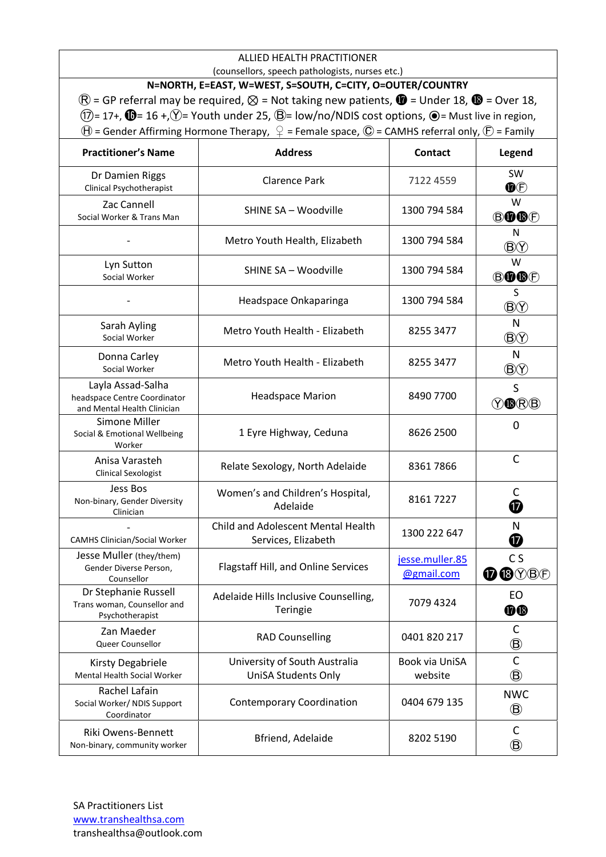#### ALLIED HEALTH PRACTITIONER (counsellors, speech pathologists, nurses etc.)

**N=NORTH, E=EAST, W=WEST, S=SOUTH, C=CITY, O=OUTER/COUNTRY**  $\mathbb{R}$  = GP referral may be required,  $\otimes$  = Not taking new patients,  $\mathbb{Q}$  = Under 18,  $\mathbb{Q}$  = Over 18,  $(1)$ = 17+,  $\mathbf{0}$ = 16 +, $\circled{}$ = Youth under 25,  $\mathbf{0}$ = low/no/NDIS cost options,  $\mathbf{0}$ = Must live in region,  $\Theta$  = Gender Affirming Hormone Therapy,  $\varphi$  = Female space,  $\mathbb O$  = CAMHS referral only,  $\mathbb E$  = Family

| <b>Practitioner's Name</b>                                                       | <b>Address</b>                                              | <b>Contact</b>                | Legend                       |
|----------------------------------------------------------------------------------|-------------------------------------------------------------|-------------------------------|------------------------------|
| Dr Damien Riggs<br>Clinical Psychotherapist                                      | <b>Clarence Park</b>                                        | 7122 4559                     | <b>SW</b><br>$\circledR$     |
| Zac Cannell<br>Social Worker & Trans Man                                         | SHINE SA - Woodville                                        | 1300 794 584                  | W<br>BOGE                    |
|                                                                                  | Metro Youth Health, Elizabeth                               | 1300 794 584                  | N<br>$\circledB$             |
| Lyn Sutton<br>Social Worker                                                      | SHINE SA - Woodville                                        | 1300 794 584                  | W<br>BOGE                    |
|                                                                                  | Headspace Onkaparinga                                       | 1300 794 584                  | S<br>$\circledR$             |
| Sarah Ayling<br>Social Worker                                                    | Metro Youth Health - Elizabeth                              | 8255 3477                     | N<br>$\circledB\circledV$    |
| Donna Carley<br>Social Worker                                                    | Metro Youth Health - Elizabeth                              | 8255 3477                     | N<br>$\circledB$             |
| Layla Assad-Salha<br>headspace Centre Coordinator<br>and Mental Health Clinician | <b>Headspace Marion</b>                                     | 8490 7700                     | S<br><b>YORB</b>             |
| Simone Miller<br>Social & Emotional Wellbeing<br>Worker                          | 1 Eyre Highway, Ceduna                                      | 8626 2500                     | $\mathbf 0$                  |
| Anisa Varasteh<br><b>Clinical Sexologist</b>                                     | Relate Sexology, North Adelaide                             | 83617866                      | $\mathsf{C}$                 |
| Jess Bos<br>Non-binary, Gender Diversity<br>Clinician                            | Women's and Children's Hospital,<br>Adelaide                | 81617227                      | C<br>⊕                       |
| <b>CAMHS Clinician/Social Worker</b>                                             | Child and Adolescent Mental Health<br>Services, Elizabeth   | 1300 222 647                  | N<br>$\bf \Phi$              |
| Jesse Muller (they/them)<br>Gender Diverse Person,<br>Counsellor                 | Flagstaff Hill, and Online Services                         | jesse.muller.85<br>@gmail.com | C <sub>S</sub><br>OBOBE      |
| Dr Stephanie Russell<br>Trans woman, Counsellor and<br>Psychotherapist           | Adelaide Hills Inclusive Counselling,<br>Teringie           | 7079 4324                     | EO<br><b>OB</b>              |
| Zan Maeder<br>Queer Counsellor                                                   | <b>RAD Counselling</b>                                      | 0401 820 217                  | C<br>$^\circledR$            |
| Kirsty Degabriele<br>Mental Health Social Worker                                 | University of South Australia<br><b>UniSA Students Only</b> | Book via UniSA<br>website     | $\mathsf{C}$<br>$^\circledR$ |
| Rachel Lafain<br>Social Worker/ NDIS Support<br>Coordinator                      | <b>Contemporary Coordination</b>                            | 0404 679 135                  | <b>NWC</b><br>$\circledB$    |
| Riki Owens-Bennett<br>Non-binary, community worker                               | Bfriend, Adelaide                                           | 8202 5190                     | C<br>$\circledB$             |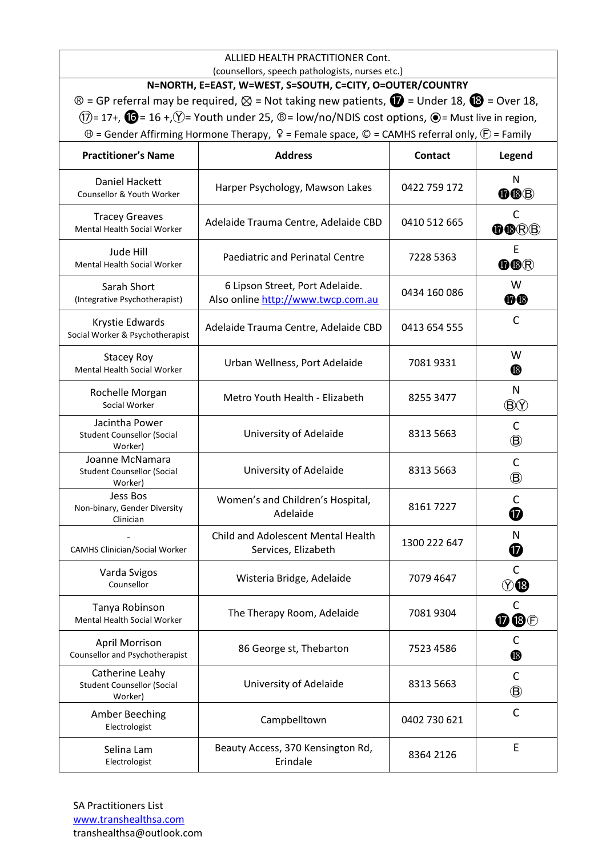|                                                                                                                                     | ALLIED HEALTH PRACTITIONER Cont.<br>(counsellors, speech pathologists, nurses etc.)                                            |                |                                     |
|-------------------------------------------------------------------------------------------------------------------------------------|--------------------------------------------------------------------------------------------------------------------------------|----------------|-------------------------------------|
|                                                                                                                                     | N=NORTH, E=EAST, W=WEST, S=SOUTH, C=CITY, O=OUTER/COUNTRY                                                                      |                |                                     |
|                                                                                                                                     | $\circledR$ = GP referral may be required, $\otimes$ = Not taking new patients, $\circledR$ = Under 18, $\circledR$ = Over 18, |                |                                     |
| $(7)$ = 17+, $(6)$ = 16 +, $(9)$ = Youth under 25, $\circledcirc$ = low/no/NDIS cost options, $\circledcirc$ = Must live in region, |                                                                                                                                |                |                                     |
|                                                                                                                                     | $\Theta$ = Gender Affirming Hormone Therapy, $\Omega$ = Female space, $\mathbb O$ = CAMHS referral only, $\mathbb O$ = Family  |                |                                     |
| <b>Practitioner's Name</b>                                                                                                          | <b>Address</b>                                                                                                                 | <b>Contact</b> | Legend                              |
| Daniel Hackett<br>Counsellor & Youth Worker                                                                                         | Harper Psychology, Mawson Lakes                                                                                                | 0422 759 172   | N<br>OOB                            |
| <b>Tracey Greaves</b><br>Mental Health Social Worker                                                                                | Adelaide Trauma Centre, Adelaide CBD                                                                                           | 0410 512 665   | $\mathsf{C}$<br>OORB                |
| Jude Hill<br>Mental Health Social Worker                                                                                            | Paediatric and Perinatal Centre                                                                                                | 7228 5363      | E<br>OOR                            |
| Sarah Short<br>(Integrative Psychotherapist)                                                                                        | 6 Lipson Street, Port Adelaide.<br>Also online http://www.twcp.com.au                                                          | 0434 160 086   | W<br><b>O</b> ®                     |
| Krystie Edwards<br>Social Worker & Psychotherapist                                                                                  | Adelaide Trauma Centre, Adelaide CBD                                                                                           | 0413 654 555   | $\mathsf{C}$                        |
| <b>Stacey Roy</b><br>Mental Health Social Worker                                                                                    | Urban Wellness, Port Adelaide                                                                                                  | 70819331       | W<br>$\, \circledR \,$              |
| Rochelle Morgan<br>Social Worker                                                                                                    | Metro Youth Health - Elizabeth                                                                                                 | 8255 3477      | $\mathsf{N}$<br>$\circledR$         |
| Jacintha Power<br><b>Student Counsellor (Social</b><br>Worker)                                                                      | University of Adelaide                                                                                                         | 8313 5663      | C<br>$\circledB$                    |
| Joanne McNamara<br><b>Student Counsellor (Social</b><br>Worker)                                                                     | University of Adelaide                                                                                                         | 8313 5663      | $\mathsf{C}$<br>$\circledB$         |
| Jess Bos<br>Non-binary, Gender Diversity<br>Clinician                                                                               | Women's and Children's Hospital,<br>Adelaide                                                                                   | 81617227       | C<br>⑰                              |
| <b>CAMHS Clinician/Social Worker</b>                                                                                                | Child and Adolescent Mental Health<br>Services, Elizabeth                                                                      | 1300 222 647   | N<br>❼                              |
| Varda Svigos<br>Counsellor                                                                                                          | Wisteria Bridge, Adelaide                                                                                                      | 7079 4647      | $\mathsf{C}$<br>$\textcircled{r}$   |
| Tanya Robinson<br><b>Mental Health Social Worker</b>                                                                                | The Therapy Room, Adelaide                                                                                                     | 70819304       | C<br>$\mathbf{0} \mathbf{0} \oplus$ |
| April Morrison<br>Counsellor and Psychotherapist                                                                                    | 86 George st, Thebarton                                                                                                        | 7523 4586      | C<br>$\bf \Phi$                     |
| Catherine Leahy<br><b>Student Counsellor (Social</b><br>Worker)                                                                     | University of Adelaide                                                                                                         | 8313 5663      | C<br>$\circledB$                    |
| Amber Beeching<br>Electrologist                                                                                                     | Campbelltown                                                                                                                   | 0402 730 621   | $\mathsf{C}$                        |
| Selina Lam<br>Electrologist                                                                                                         | Beauty Access, 370 Kensington Rd,<br>Erindale                                                                                  | 8364 2126      | E                                   |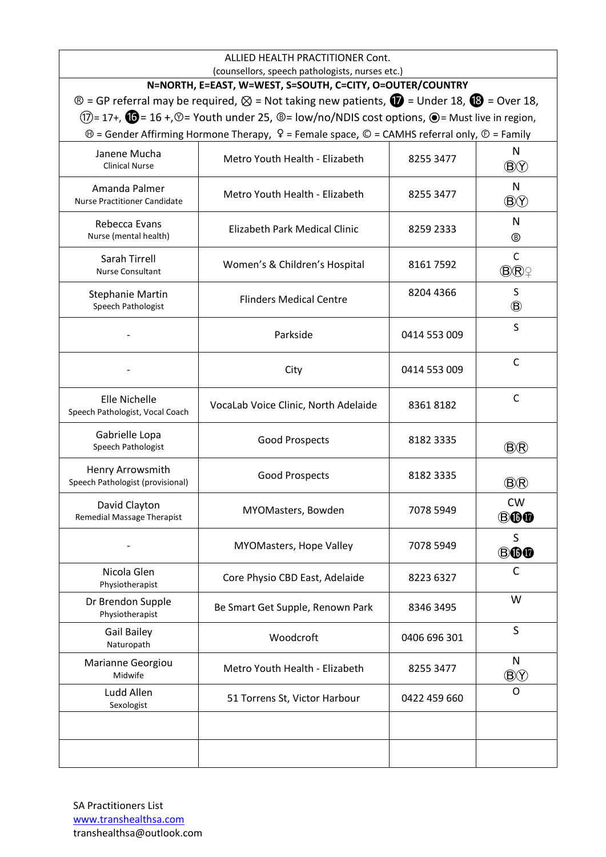| ALLIED HEALTH PRACTITIONER Cont.<br>(counsellors, speech pathologists, nurses etc.) |                                                                                                                                                                                                                                                                               |              |                          |
|-------------------------------------------------------------------------------------|-------------------------------------------------------------------------------------------------------------------------------------------------------------------------------------------------------------------------------------------------------------------------------|--------------|--------------------------|
|                                                                                     | N=NORTH, E=EAST, W=WEST, S=SOUTH, C=CITY, O=OUTER/COUNTRY                                                                                                                                                                                                                     |              |                          |
|                                                                                     | $\circledR$ = GP referral may be required, $\otimes$ = Not taking new patients, $\circledR$ = Under 18, $\circledR$ = Over 18,<br>$(1)$ = 17+, $\bullet$ = 16 +, $\circledcirc$ = Youth under 25, $\circledcirc$ = low/no/NDIS cost options, $\bullet$ = Must live in region, |              |                          |
|                                                                                     | $\Theta$ = Gender Affirming Hormone Therapy, $\Omega$ = Female space, $\mathbb O$ = CAMHS referral only, $\mathbb O$ = Family                                                                                                                                                 |              |                          |
| Janene Mucha<br><b>Clinical Nurse</b>                                               | Metro Youth Health - Elizabeth                                                                                                                                                                                                                                                | 8255 3477    | N<br>$\circledR$         |
| Amanda Palmer<br><b>Nurse Practitioner Candidate</b>                                | Metro Youth Health - Elizabeth                                                                                                                                                                                                                                                | 8255 3477    | N<br>$\circledR$         |
| Rebecca Evans<br>Nurse (mental health)                                              | Elizabeth Park Medical Clinic                                                                                                                                                                                                                                                 | 8259 2333    | N<br>®                   |
| Sarah Tirrell<br>Nurse Consultant                                                   | Women's & Children's Hospital                                                                                                                                                                                                                                                 | 81617592     | $\mathsf C$<br><b>BR</b> |
| <b>Stephanie Martin</b><br>Speech Pathologist                                       | <b>Flinders Medical Centre</b>                                                                                                                                                                                                                                                | 8204 4366    | S<br>$\circledR$         |
|                                                                                     | Parkside                                                                                                                                                                                                                                                                      | 0414 553 009 | S                        |
|                                                                                     | City                                                                                                                                                                                                                                                                          | 0414 553 009 | $\mathsf{C}$             |
| Elle Nichelle<br>Speech Pathologist, Vocal Coach                                    | VocaLab Voice Clinic, North Adelaide                                                                                                                                                                                                                                          | 83618182     | $\mathsf{C}$             |
| Gabrielle Lopa<br>Speech Pathologist                                                | <b>Good Prospects</b>                                                                                                                                                                                                                                                         | 8182 3335    | <b>B</b> ®               |
| Henry Arrowsmith<br>Speech Pathologist (provisional)                                | <b>Good Prospects</b>                                                                                                                                                                                                                                                         | 8182 3335    | <b>BR</b>                |
| David Clayton<br>Remedial Massage Therapist                                         | MYOMasters, Bowden                                                                                                                                                                                                                                                            | 7078 5949    | <b>CW</b><br><b>BOO</b>  |
|                                                                                     | MYOMasters, Hope Valley                                                                                                                                                                                                                                                       | 7078 5949    | S<br><b>BOO</b>          |
| Nicola Glen<br>Physiotherapist                                                      | Core Physio CBD East, Adelaide                                                                                                                                                                                                                                                | 8223 6327    | C                        |
| Dr Brendon Supple<br>Physiotherapist                                                | Be Smart Get Supple, Renown Park                                                                                                                                                                                                                                              | 8346 3495    | W                        |
| Gail Bailey<br>Naturopath                                                           | Woodcroft                                                                                                                                                                                                                                                                     | 0406 696 301 | $\mathsf S$              |
| Marianne Georgiou<br>Midwife                                                        | Metro Youth Health - Elizabeth                                                                                                                                                                                                                                                | 8255 3477    | N<br>$\circledB$         |
| Ludd Allen<br>Sexologist                                                            | 51 Torrens St, Victor Harbour                                                                                                                                                                                                                                                 | 0422 459 660 | O                        |
|                                                                                     |                                                                                                                                                                                                                                                                               |              |                          |
|                                                                                     |                                                                                                                                                                                                                                                                               |              |                          |

SA Practitioners List [www.transhealthsa.com](http://www.transhealthsa.com/) transhealthsa@outlook.com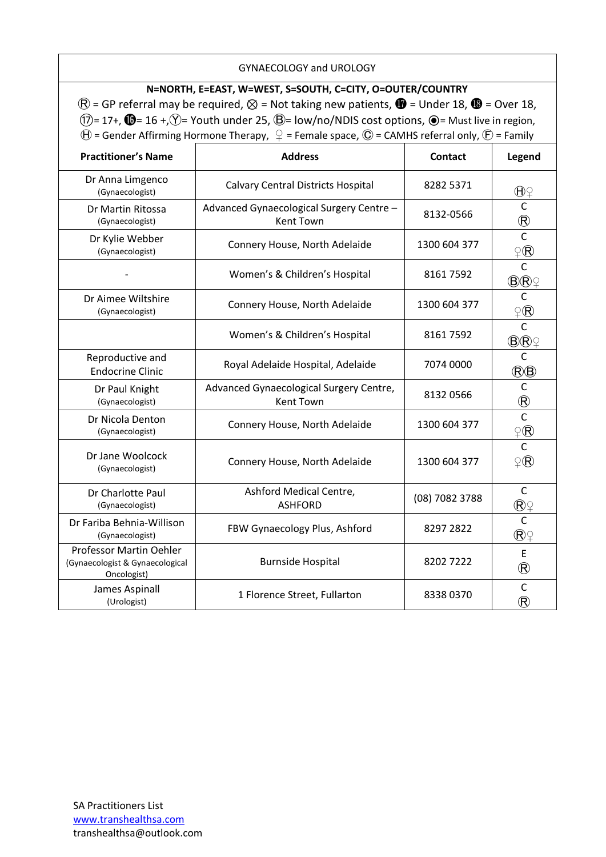### GYNAECOLOGY and UROLOGY

**N=NORTH, E=EAST, W=WEST, S=SOUTH, C=CITY, O=OUTER/COUNTRY**  $\mathbb{R}$  = GP referral may be required,  $\otimes$  = Not taking new patients,  $\mathbb{Q}$  = Under 18,  $\mathbb{Q}$  = Over 18,  $(1)$ = 17+,  $\mathbf{O}$ = 16 +, $\circled{}$ = Youth under 25,  $\mathbf{O}$ = low/no/NDIS cost options,  $\mathbf{O}$ = Must live in region,  $\Theta$  = Gender Affirming Hormone Therapy,  $\varphi$  = Female space,  $\mathbb O$  = CAMHS referral only,  $\mathbb E$  = Family

| <b>Practitioner's Name</b>                                                | <b>Address</b>                                               | Contact        | Legend                                                |
|---------------------------------------------------------------------------|--------------------------------------------------------------|----------------|-------------------------------------------------------|
| Dr Anna Limgenco<br>(Gynaecologist)                                       | <b>Calvary Central Districts Hospital</b>                    | 8282 5371      | $\bigoplus \mathcal{G}$                               |
| Dr Martin Ritossa<br>(Gynaecologist)                                      | Advanced Gynaecological Surgery Centre -<br><b>Kent Town</b> | 8132-0566      | $\mathsf C$<br>$\frac{\textcircled{R}}{\text{C}}$     |
| Dr Kylie Webber<br>(Gynaecologist)                                        | Connery House, North Adelaide                                | 1300 604 377   | $\widehat{P}(\widehat{\mathsf{R}})$                   |
|                                                                           | Women's & Children's Hospital                                | 81617592       | $\mathsf{C}$<br><b>BR</b>                             |
| Dr Aimee Wiltshire<br>(Gynaecologist)                                     | Connery House, North Adelaide                                | 1300 604 377   | $\mathsf{C}$<br>$\varphi(\widehat{\mathsf{R}})$       |
|                                                                           | Women's & Children's Hospital                                | 81617592       | $\overline{C}$<br><b>B</b> ®                          |
| Reproductive and<br><b>Endocrine Clinic</b>                               | Royal Adelaide Hospital, Adelaide                            | 7074 0000      | $\mathsf{C}$<br>$(B \times B)$                        |
| Dr Paul Knight<br>(Gynaecologist)                                         | Advanced Gynaecological Surgery Centre,<br><b>Kent Town</b>  | 8132 0566      | $\mathsf C$<br>$\frac{\circledR}{c}$                  |
| Dr Nicola Denton<br>(Gynaecologist)                                       | Connery House, North Adelaide                                | 1300 604 377   | $\varphi(\widehat{\mathsf{R}})$                       |
| Dr Jane Woolcock<br>(Gynaecologist)                                       | Connery House, North Adelaide                                | 1300 604 377   | $\mathsf{C}$<br>$\mathcal{Q}(\mathsf{R})$             |
| Dr Charlotte Paul<br>(Gynaecologist)                                      | Ashford Medical Centre,<br><b>ASHFORD</b>                    | (08) 7082 3788 | $\mathsf C$                                           |
| Dr Fariba Behnia-Willison<br>(Gynaecologist)                              | FBW Gynaecology Plus, Ashford                                | 8297 2822      | $\overline{C}$<br>$\left(\widehat{\mathsf{R}}\right)$ |
| Professor Martin Oehler<br>(Gynaecologist & Gynaecological<br>Oncologist) | <b>Burnside Hospital</b>                                     | 8202 7222      | E<br>$^{\circledR}$                                   |
| James Aspinall<br>(Urologist)                                             | 1 Florence Street, Fullarton                                 | 8338 0370      | $\mathsf C$<br>$^{\circledR}$                         |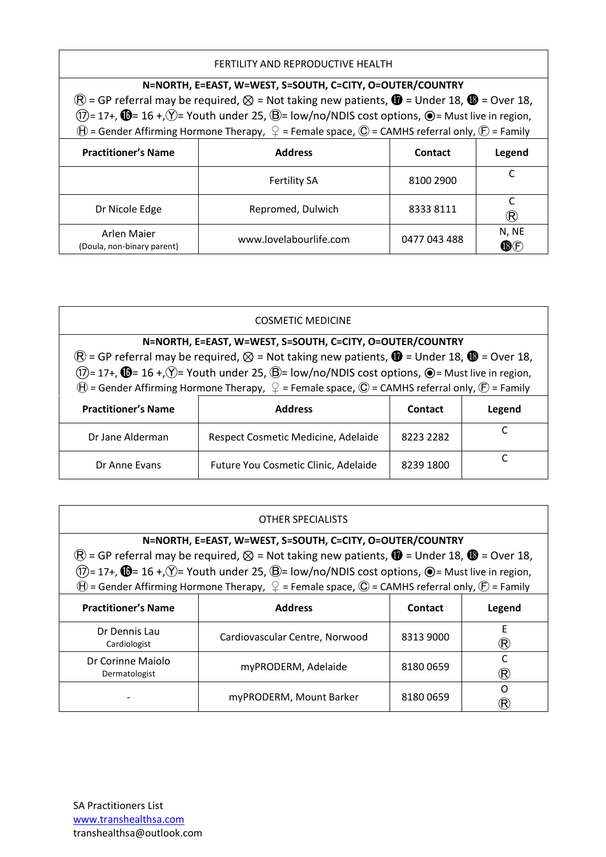### FERTILITY AND REPRODUCTIVE HEALTH

| N=NORTH, E=EAST, W=WEST, S=SOUTH, C=CITY, O=OUTER/COUNTRY<br>$\circledR$ = GP referral may be required, $\otimes$ = Not taking new patients, $\bullet$ = Under 18, $\bullet$ = Over 18,<br>$(\overline{1})$ = 17+, $\overline{10}$ = 16 +, $\overline{Y}$ = Youth under 25, $\overline{B}$ = low/no/NDIS cost options, $\odot$ = Must live in region, |                                                                                                                                  |              |                     |
|-------------------------------------------------------------------------------------------------------------------------------------------------------------------------------------------------------------------------------------------------------------------------------------------------------------------------------------------------------|----------------------------------------------------------------------------------------------------------------------------------|--------------|---------------------|
|                                                                                                                                                                                                                                                                                                                                                       | $\bigoplus$ = Gender Affirming Hormone Therapy, $\bigcirc$ = Female space, $\bigcirc$ = CAMHS referral only, $\bigcirc$ = Family |              |                     |
| <b>Practitioner's Name</b>                                                                                                                                                                                                                                                                                                                            | <b>Address</b>                                                                                                                   | Contact      | Legend              |
|                                                                                                                                                                                                                                                                                                                                                       | <b>Fertility SA</b>                                                                                                              | 8100 2900    |                     |
| Dr Nicole Edge                                                                                                                                                                                                                                                                                                                                        | Repromed, Dulwich                                                                                                                | 83338111     | $(\mathsf{R})$      |
| <b>Arlen Majer</b><br>(Doula, non-binary parent)                                                                                                                                                                                                                                                                                                      | www.lovelabourlife.com                                                                                                           | 0477 043 488 | N, NE<br><b>B</b> F |

| <b>COSMETIC MEDICINE</b>                                                                                                                                                                                                                                                                                                        |                                      |           |        |
|---------------------------------------------------------------------------------------------------------------------------------------------------------------------------------------------------------------------------------------------------------------------------------------------------------------------------------|--------------------------------------|-----------|--------|
| N=NORTH, E=EAST, W=WEST, S=SOUTH, C=CITY, O=OUTER/COUNTRY<br>$\circledR$ = GP referral may be required, $\otimes$ = Not taking new patients, $\bullet$ = Under 18, $\bullet$ = Over 18,<br>$(1)$ = 17+, $\mathbf{0}$ = 16 +, $\hat{V}$ = Youth under 25, $\hat{B}$ = low/no/NDIS cost options, $\hat{O}$ = Must live in region, |                                      |           |        |
| $\Theta$ = Gender Affirming Hormone Therapy, $\mathcal{Q}$ = Female space, $\mathbb{O}$ = CAMHS referral only, $\mathcal{F}$ = Family                                                                                                                                                                                           |                                      |           |        |
| <b>Practitioner's Name</b>                                                                                                                                                                                                                                                                                                      | <b>Address</b>                       | Contact   | Legend |
| Dr Jane Alderman                                                                                                                                                                                                                                                                                                                | Respect Cosmetic Medicine, Adelaide  | 8223 2282 |        |
| Dr Anne Evans                                                                                                                                                                                                                                                                                                                   | Future You Cosmetic Clinic, Adelaide | 8239 1800 |        |

| OTHER SPECIALISTS                                                                                                                 |                                                                                                                                  |           |                        |
|-----------------------------------------------------------------------------------------------------------------------------------|----------------------------------------------------------------------------------------------------------------------------------|-----------|------------------------|
|                                                                                                                                   | N=NORTH, E=EAST, W=WEST, S=SOUTH, C=CITY, O=OUTER/COUNTRY                                                                        |           |                        |
|                                                                                                                                   | $\circledR$ = GP referral may be required, $\otimes$ = Not taking new patients, $\bullet$ = Under 18, $\bullet$ = Over 18,       |           |                        |
| $(1)$ = 17+, $\bullet$ = 16 +, $\circ$ = Youth under 25, $\circledB$ = low/no/NDIS cost options, $\bullet$ = Must live in region, |                                                                                                                                  |           |                        |
|                                                                                                                                   | $\bigoplus$ = Gender Affirming Hormone Therapy, $\bigcirc$ = Female space, $\bigcirc$ = CAMHS referral only, $\bigcirc$ = Family |           |                        |
| <b>Practitioner's Name</b>                                                                                                        | <b>Address</b>                                                                                                                   | Contact   | Legend                 |
| Dr Dennis Lau<br>Cardiologist                                                                                                     | Cardiovascular Centre, Norwood                                                                                                   | 8313 9000 | F<br>$(\! {\bf R} \!)$ |
| Dr Corinne Maiolo<br>Dermatologist                                                                                                | myPRODERM, Adelaide                                                                                                              | 81800659  | $(\! \mathsf{R}\!)$    |
|                                                                                                                                   | myPRODERM, Mount Barker                                                                                                          | 81800659  | ∩<br>R)                |